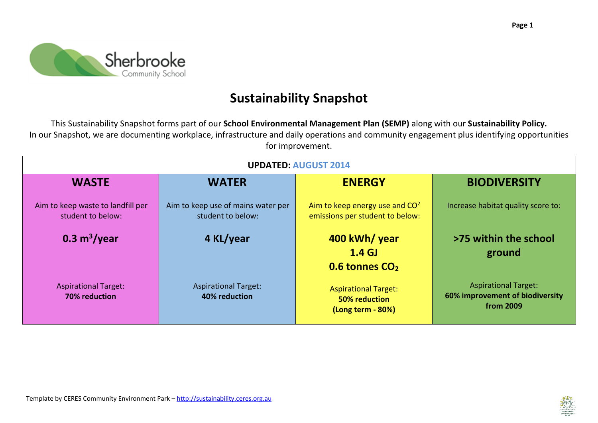

## **Sustainability Snapshot**

This Sustainability Snapshot forms part of our **School Environmental Management Plan (SEMP)** along with our **Sustainability Policy.**  In our Snapshot, we are documenting workplace, infrastructure and daily operations and community engagement plus identifying opportunities for improvement.

| <b>UPDATED: AUGUST 2014</b>                            |                                                         |                                                                          |                                                                             |
|--------------------------------------------------------|---------------------------------------------------------|--------------------------------------------------------------------------|-----------------------------------------------------------------------------|
| <b>WASTE</b>                                           | <b>WATER</b>                                            | <b>ENERGY</b>                                                            | <b>BIODIVERSITY</b>                                                         |
| Aim to keep waste to landfill per<br>student to below: | Aim to keep use of mains water per<br>student to below: | Aim to keep energy use and $CO2$<br>emissions per student to below:      | Increase habitat quality score to:                                          |
| 0.3 m <sup>3</sup> /year                               | 4 KL/year                                               | 400 kWh/ year<br>1.4 <sub>GJ</sub><br>0.6 tonnes CO <sub>2</sub>         | >75 within the school<br>ground                                             |
| <b>Aspirational Target:</b><br>70% reduction           | <b>Aspirational Target:</b><br>40% reduction            | <b>Aspirational Target:</b><br><b>50% reduction</b><br>(Long term - 80%) | <b>Aspirational Target:</b><br>60% improvement of biodiversity<br>from 2009 |

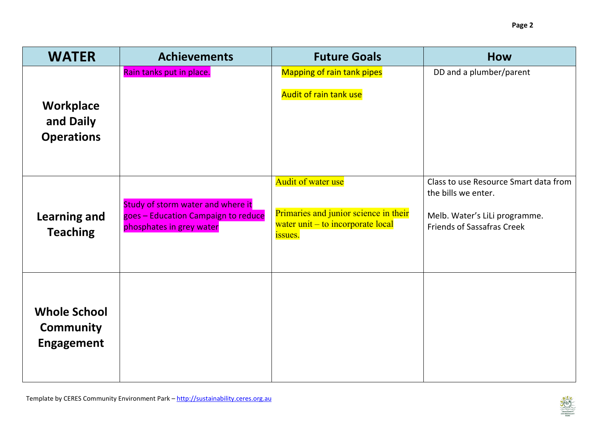| <b>WATER</b>                                                 | <b>Achievements</b>                                                                                  | <b>Future Goals</b>                                                                                                       | <b>How</b>                                                                                                                         |
|--------------------------------------------------------------|------------------------------------------------------------------------------------------------------|---------------------------------------------------------------------------------------------------------------------------|------------------------------------------------------------------------------------------------------------------------------------|
| <b>Workplace</b><br>and Daily<br><b>Operations</b>           | Rain tanks put in place.                                                                             | Mapping of rain tank pipes<br>Audit of rain tank use                                                                      | DD and a plumber/parent                                                                                                            |
| <b>Learning and</b><br><b>Teaching</b>                       | Study of storm water and where it<br>goes - Education Campaign to reduce<br>phosphates in grey water | <b>Audit of water use</b><br>Primaries and junior science in their<br>water unit – to incorporate local<br><i>issues.</i> | Class to use Resource Smart data from<br>the bills we enter.<br>Melb. Water's LiLi programme.<br><b>Friends of Sassafras Creek</b> |
| <b>Whole School</b><br><b>Community</b><br><b>Engagement</b> |                                                                                                      |                                                                                                                           |                                                                                                                                    |

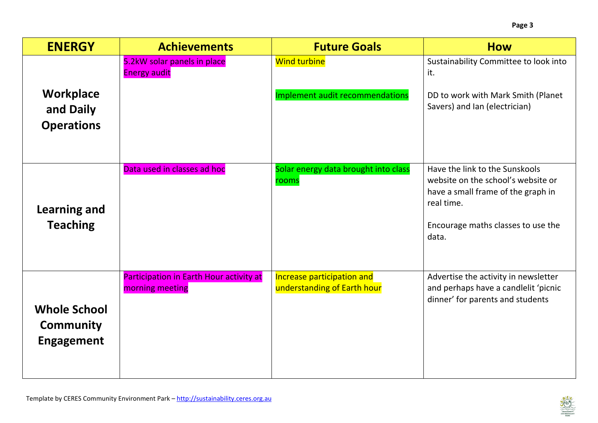| <b>ENERGY</b>                                                | <b>Achievements</b>                                        | <b>Future Goals</b>                                       | <b>How</b>                                                                                                                                                              |
|--------------------------------------------------------------|------------------------------------------------------------|-----------------------------------------------------------|-------------------------------------------------------------------------------------------------------------------------------------------------------------------------|
| <b>Workplace</b><br>and Daily<br><b>Operations</b>           | 5.2kW solar panels in place<br><b>Energy audit</b>         | <b>Wind turbine</b><br>Implement audit recommendations    | Sustainability Committee to look into<br>it.<br>DD to work with Mark Smith (Planet<br>Savers) and Ian (electrician)                                                     |
| <b>Learning and</b><br><b>Teaching</b>                       | Data used in classes ad hoc                                | Solar energy data brought into class<br>rooms             | Have the link to the Sunskools<br>website on the school's website or<br>have a small frame of the graph in<br>real time.<br>Encourage maths classes to use the<br>data. |
| <b>Whole School</b><br><b>Community</b><br><b>Engagement</b> | Participation in Earth Hour activity at<br>morning meeting | Increase participation and<br>understanding of Earth hour | Advertise the activity in newsletter<br>and perhaps have a candlelit 'picnic<br>dinner' for parents and students                                                        |

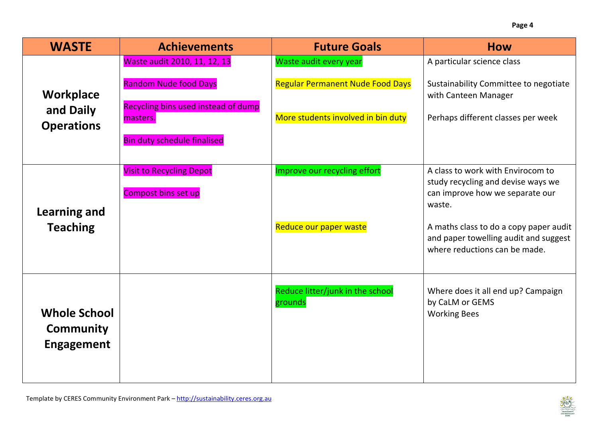| <b>WASTE</b>                                                 | <b>Achievements</b>                                                                                                                                   | <b>Future Goals</b>                                                                                     | <b>How</b>                                                                                                                                                                                                                               |
|--------------------------------------------------------------|-------------------------------------------------------------------------------------------------------------------------------------------------------|---------------------------------------------------------------------------------------------------------|------------------------------------------------------------------------------------------------------------------------------------------------------------------------------------------------------------------------------------------|
| <b>Workplace</b><br>and Daily<br><b>Operations</b>           | Waste audit 2010, 11, 12, 13<br><b>Random Nude food Days</b><br>Recycling bins used instead of dump<br>masters.<br><b>Bin duty schedule finalised</b> | Waste audit every year<br><b>Regular Permanent Nude Food Days</b><br>More students involved in bin duty | A particular science class<br>Sustainability Committee to negotiate<br>with Canteen Manager<br>Perhaps different classes per week                                                                                                        |
| <b>Learning and</b><br><b>Teaching</b>                       | <b>Visit to Recycling Depot</b><br>Compost bins set up                                                                                                | Improve our recycling effort<br>Reduce our paper waste                                                  | A class to work with Envirocom to<br>study recycling and devise ways we<br>can improve how we separate our<br>waste.<br>A maths class to do a copy paper audit<br>and paper towelling audit and suggest<br>where reductions can be made. |
| <b>Whole School</b><br><b>Community</b><br><b>Engagement</b> |                                                                                                                                                       | Reduce litter/junk in the school<br>grounds                                                             | Where does it all end up? Campaign<br>by CaLM or GEMS<br><b>Working Bees</b>                                                                                                                                                             |